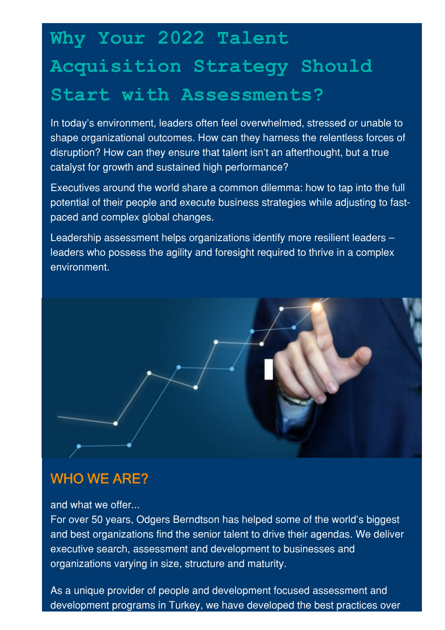## **Why Your 2022 Talent Acquisition Strategy Should Start with Assessments?**

In today's environment, leaders often feel overwhelmed, stressed or unable to shape organizational outcomes. How can they harness the relentless forces of disruption? How can they ensure that talent isn't an afterthought, but a true catalyst for growth and sustained high performance?

Executives around the world share a common dilemma: how to tap into the full potential of their people and execute business strategies while adjusting to fastpaced and complex global changes.

Leadership assessment helps organizations identify more resilient leaders – leaders who possess the agility and foresight required to thrive in a complex environment.



## WHO WE ARE?

and what we offer...

For over 50 years, Odgers Berndtson has helped some of the world's biggest and best organizations find the senior talent to drive their agendas. We deliver executive search, assessment and development to businesses and organizations varying in size, structure and maturity.

As a unique provider of people and development focused assessment and development programs in Turkey, we have developed the best practices over